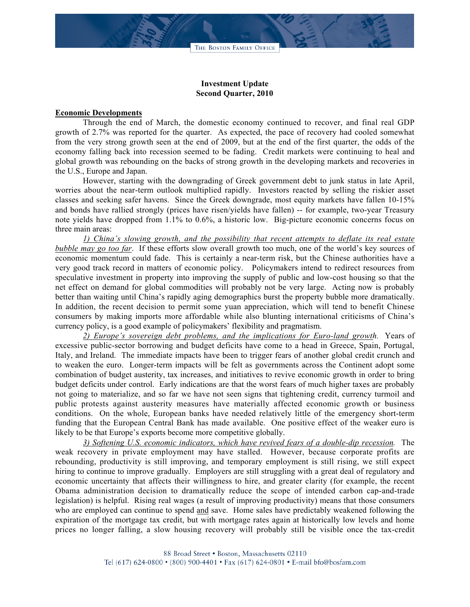## **Investment Update Second Quarter, 2010**

## **Economic Developments**

Through the end of March, the domestic economy continued to recover, and final real GDP growth of 2.7% was reported for the quarter. As expected, the pace of recovery had cooled somewhat from the very strong growth seen at the end of 2009, but at the end of the first quarter, the odds of the economy falling back into recession seemed to be fading. Credit markets were continuing to heal and global growth was rebounding on the backs of strong growth in the developing markets and recoveries in the U.S., Europe and Japan.

However, starting with the downgrading of Greek government debt to junk status in late April, worries about the near-term outlook multiplied rapidly. Investors reacted by selling the riskier asset classes and seeking safer havens. Since the Greek downgrade, most equity markets have fallen 10-15% and bonds have rallied strongly (prices have risen/yields have fallen) -- for example, two-year Treasury note yields have dropped from 1.1% to 0.6%, a historic low. Big-picture economic concerns focus on three main areas:

*1) China's slowing growth, and the possibility that recent attempts to deflate its real estate bubble may go too far*. If these efforts slow overall growth too much, one of the world's key sources of economic momentum could fade. This is certainly a near-term risk, but the Chinese authorities have a very good track record in matters of economic policy. Policymakers intend to redirect resources from speculative investment in property into improving the supply of public and low-cost housing so that the net effect on demand for global commodities will probably not be very large. Acting now is probably better than waiting until China's rapidly aging demographics burst the property bubble more dramatically. In addition, the recent decision to permit some yuan appreciation, which will tend to benefit Chinese consumers by making imports more affordable while also blunting international criticisms of China's currency policy, is a good example of policymakers' flexibility and pragmatism.

*2) Europe's sovereign debt problems, and the implications for Euro-land growth.* Years of excessive public-sector borrowing and budget deficits have come to a head in Greece, Spain, Portugal, Italy, and Ireland. The immediate impacts have been to trigger fears of another global credit crunch and to weaken the euro. Longer-term impacts will be felt as governments across the Continent adopt some combination of budget austerity, tax increases, and initiatives to revive economic growth in order to bring budget deficits under control. Early indications are that the worst fears of much higher taxes are probably not going to materialize, and so far we have not seen signs that tightening credit, currency turmoil and public protests against austerity measures have materially affected economic growth or business conditions. On the whole, European banks have needed relatively little of the emergency short-term funding that the European Central Bank has made available. One positive effect of the weaker euro is likely to be that Europe's exports become more competitive globally.

*3) Softening U.S. economic indicators, which have revived fears of a double-dip recession.* The weak recovery in private employment may have stalled. However, because corporate profits are rebounding, productivity is still improving, and temporary employment is still rising, we still expect hiring to continue to improve gradually. Employers are still struggling with a great deal of regulatory and economic uncertainty that affects their willingness to hire, and greater clarity (for example, the recent Obama administration decision to dramatically reduce the scope of intended carbon cap-and-trade legislation) is helpful. Rising real wages (a result of improving productivity) means that those consumers who are employed can continue to spend and save. Home sales have predictably weakened following the expiration of the mortgage tax credit, but with mortgage rates again at historically low levels and home prices no longer falling, a slow housing recovery will probably still be visible once the tax-credit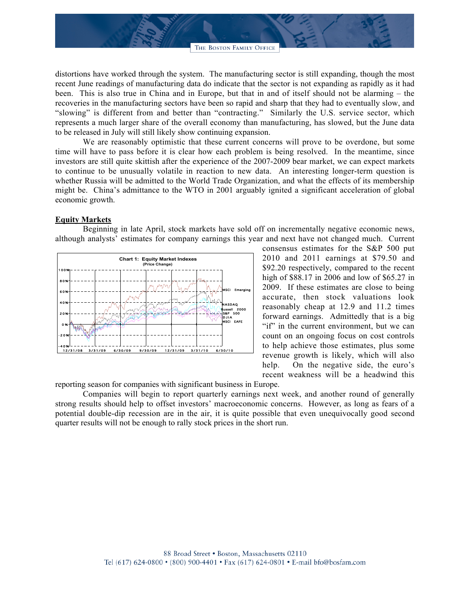distortions have worked through the system. The manufacturing sector is still expanding, though the most recent June readings of manufacturing data do indicate that the sector is not expanding as rapidly as it had been. This is also true in China and in Europe, but that in and of itself should not be alarming – the recoveries in the manufacturing sectors have been so rapid and sharp that they had to eventually slow, and "slowing" is different from and better than "contracting." Similarly the U.S. service sector, which represents a much larger share of the overall economy than manufacturing, has slowed, but the June data to be released in July will still likely show continuing expansion.

We are reasonably optimistic that these current concerns will prove to be overdone, but some time will have to pass before it is clear how each problem is being resolved. In the meantime, since investors are still quite skittish after the experience of the 2007-2009 bear market, we can expect markets to continue to be unusually volatile in reaction to new data. An interesting longer-term question is whether Russia will be admitted to the World Trade Organization, and what the effects of its membership might be. China's admittance to the WTO in 2001 arguably ignited a significant acceleration of global economic growth.

## **Equity Markets**

Beginning in late April, stock markets have sold off on incrementally negative economic news, although analysts' estimates for company earnings this year and next have not changed much. Current



consensus estimates for the S&P 500 put 2010 and 2011 earnings at \$79.50 and \$92.20 respectively, compared to the recent high of \$88.17 in 2006 and low of \$65.27 in 2009. If these estimates are close to being accurate, then stock valuations look reasonably cheap at 12.9 and 11.2 times forward earnings. Admittedly that is a big "if" in the current environment, but we can count on an ongoing focus on cost controls to help achieve those estimates, plus some revenue growth is likely, which will also help. On the negative side, the euro's recent weakness will be a headwind this

reporting season for companies with significant business in Europe.

Companies will begin to report quarterly earnings next week, and another round of generally strong results should help to offset investors' macroeconomic concerns. However, as long as fears of a potential double-dip recession are in the air, it is quite possible that even unequivocally good second quarter results will not be enough to rally stock prices in the short run.